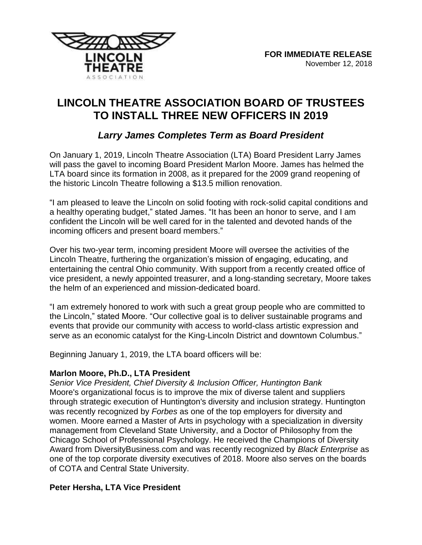



# **LINCOLN THEATRE ASSOCIATION BOARD OF TRUSTEES TO INSTALL THREE NEW OFFICERS IN 2019**

# *Larry James Completes Term as Board President*

On January 1, 2019, Lincoln Theatre Association (LTA) Board President Larry James will pass the gavel to incoming Board President Marlon Moore. James has helmed the LTA board since its formation in 2008, as it prepared for the 2009 grand reopening of the historic Lincoln Theatre following a \$13.5 million renovation.

"I am pleased to leave the Lincoln on solid footing with rock-solid capital conditions and a healthy operating budget," stated James. "It has been an honor to serve, and I am confident the Lincoln will be well cared for in the talented and devoted hands of the incoming officers and present board members."

Over his two-year term, incoming president Moore will oversee the activities of the Lincoln Theatre, furthering the organization's mission of engaging, educating, and entertaining the central Ohio community. With support from a recently created office of vice president, a newly appointed treasurer, and a long-standing secretary, Moore takes the helm of an experienced and mission-dedicated board.

"I am extremely honored to work with such a great group people who are committed to the Lincoln," stated Moore. "Our collective goal is to deliver sustainable programs and events that provide our community with access to world-class artistic expression and serve as an economic catalyst for the King-Lincoln District and downtown Columbus."

Beginning January 1, 2019, the LTA board officers will be:

## **Marlon Moore, Ph.D., LTA President**

*Senior Vice President, Chief Diversity & Inclusion Officer, Huntington Bank* Moore's organizational focus is to improve the mix of diverse talent and suppliers through strategic execution of Huntington's diversity and inclusion strategy. Huntington was recently recognized by *Forbes* as one of the top employers for diversity and women. Moore earned a Master of Arts in psychology with a specialization in diversity management from Cleveland State University, and a Doctor of Philosophy from the Chicago School of Professional Psychology. He received the Champions of Diversity Award from DiversityBusiness.com and was recently recognized by *Black Enterprise* as one of the top corporate diversity executives of 2018. Moore also serves on the boards of COTA and Central State University.

## **Peter Hersha, LTA Vice President**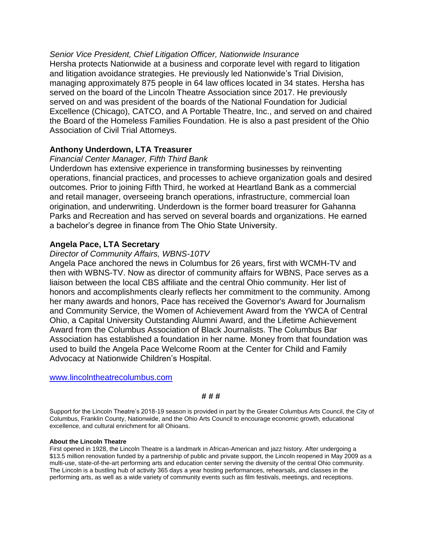*Senior Vice President, Chief Litigation Officer, Nationwide Insurance* Hersha protects Nationwide at a business and corporate level with regard to litigation and litigation avoidance strategies. He previously led Nationwide's Trial Division, managing approximately 875 people in 64 law offices located in 34 states. Hersha has served on the board of the Lincoln Theatre Association since 2017. He previously served on and was president of the boards of the National Foundation for Judicial Excellence (Chicago), CATCO, and A Portable Theatre, Inc., and served on and chaired the Board of the Homeless Families Foundation. He is also a past president of the Ohio Association of Civil Trial Attorneys.

## **Anthony Underdown, LTA Treasurer**

#### *Financial Center Manager, Fifth Third Bank*

Underdown has extensive experience in transforming businesses by reinventing operations, financial practices, and processes to achieve organization goals and desired outcomes. Prior to joining Fifth Third, he worked at Heartland Bank as a commercial and retail manager, overseeing branch operations, infrastructure, commercial loan origination, and underwriting. Underdown is the former board treasurer for Gahanna Parks and Recreation and has served on several boards and organizations. He earned a bachelor's degree in finance from The Ohio State University.

#### **Angela Pace, LTA Secretary**

#### *Director of Community Affairs, WBNS-10TV*

Angela Pace anchored the news in Columbus for 26 years, first with WCMH-TV and then with WBNS-TV. Now as director of community affairs for WBNS, Pace serves as a liaison between the local CBS affiliate and the central Ohio community. Her list of honors and accomplishments clearly reflects her commitment to the community. Among her many awards and honors, Pace has received the Governor's Award for Journalism and Community Service, the Women of Achievement Award from the YWCA of Central Ohio, a Capital University Outstanding Alumni Award, and the Lifetime Achievement Award from the Columbus Association of Black Journalists. The Columbus Bar Association has established a foundation in her name. Money from that foundation was used to build the Angela Pace Welcome Room at the Center for Child and Family Advocacy at Nationwide Children's Hospital.

[www.lincolntheatrecolumbus.com](http://www.lincolntheatrecolumbus.com/)

#### **# # #**

Support for the Lincoln Theatre's 2018-19 season is provided in part by the Greater Columbus Arts Council, the City of Columbus, Franklin County, Nationwide, and the Ohio Arts Council to encourage economic growth, educational excellence, and cultural enrichment for all Ohioans.

#### **About the Lincoln Theatre**

First opened in 1928, the Lincoln Theatre is a landmark in African-American and jazz history. After undergoing a \$13.5 million renovation funded by a partnership of public and private support, the Lincoln reopened in May 2009 as a multi-use, state-of-the-art performing arts and education center serving the diversity of the central Ohio community. The Lincoln is a bustling hub of activity 365 days a year hosting performances, rehearsals, and classes in the performing arts, as well as a wide variety of community events such as film festivals, meetings, and receptions.